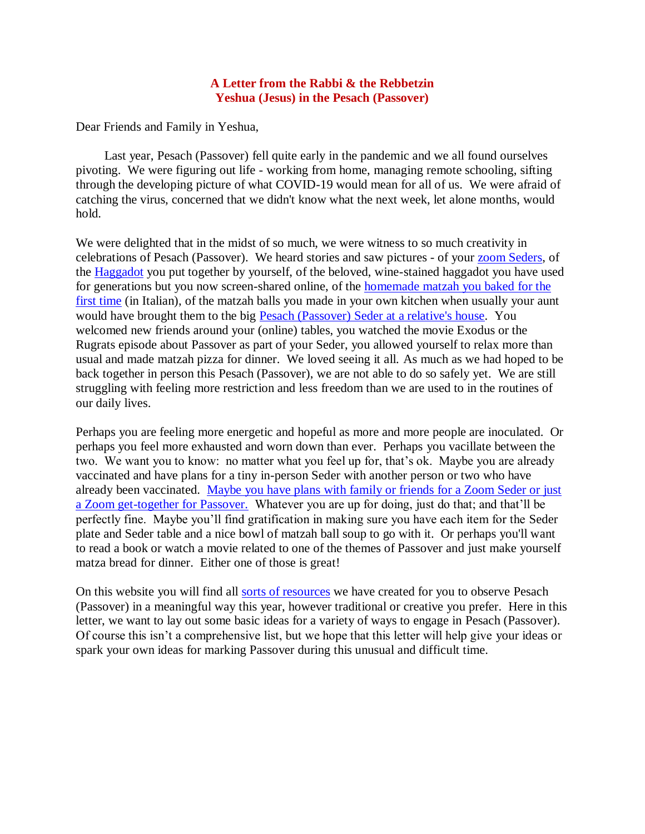## **A Letter from the Rabbi & the Rebbetzin Yeshua (Jesus) in the Pesach (Passover)**

Dear Friends and Family in Yeshua,

 Last year, Pesach (Passover) fell quite early in the pandemic and we all found ourselves pivoting. We were figuring out life - working from home, managing remote schooling, sifting through the developing picture of what COVID-19 would mean for all of us. We were afraid of catching the virus, concerned that we didn't know what the next week, let alone months, would hold.

We were delighted that in the midst of so much, we were witness to so much creativity in celebrations of Pesach (Passover). We heard stories and saw pictures - of your [zoom Seders,](https://www.youtube.com/watch?v=cE0K_1q1nZk) of the [Haggadot](https://villageofhopejusticeministry.files.wordpress.com/2018/04/messianic-passover-haggadah-in-english.pdf) you put together by yourself, of the beloved, wine-stained haggadot you have used for generations but you now screen-shared online, of the [homemade matzah you baked for the](https://www.youtube.com/watch?v=VM0iZ-oC3l8)  [first time](https://www.youtube.com/watch?v=VM0iZ-oC3l8) (in Italian), of the matzah balls you made in your own kitchen when usually your aunt would have brought them to the big Pesach (Passover) Seder [at a relative's house.](https://www.youtube.com/watch?v=1c1HySWdJGs&t=6s) You welcomed new friends around your (online) tables, you watched the movie Exodus or the Rugrats episode about Passover as part of your Seder, you allowed yourself to relax more than usual and made matzah pizza for dinner. We loved seeing it all. As much as we had hoped to be back together in person this Pesach (Passover), we are not able to do so safely yet. We are still struggling with feeling more restriction and less freedom than we are used to in the routines of our daily lives.

Perhaps you are feeling more energetic and hopeful as more and more people are inoculated. Or perhaps you feel more exhausted and worn down than ever. Perhaps you vacillate between the two. We want you to know: no matter what you feel up for, that's ok. Maybe you are already vaccinated and have plans for a tiny in-person Seder with another person or two who have already been vaccinated. [Maybe you have plans with family or friends for a Zoom Seder](mailto:vohjm2013@gmail.com) or just [a Zoom get-together for Passover.](mailto:vohjm2013@gmail.com) Whatever you are up for doing, just do that; and that'll be perfectly fine. Maybe you'll find gratification in making sure you have each item for the Seder plate and Seder table and a nice bowl of matzah ball soup to go with it. Or perhaps you'll want to read a book or watch a movie related to one of the themes of Passover and just make yourself matza bread for dinner. Either one of those is great!

On this website you will find all [sorts of resources](https://villageofhopejusticeministry.files.wordpress.com/2021/03/pesach-passover-at-home.pdf) we have created for you to observe Pesach (Passover) in a meaningful way this year, however traditional or creative you prefer. Here in this letter, we want to lay out some basic ideas for a variety of ways to engage in Pesach (Passover). Of course this isn't a comprehensive list, but we hope that this letter will help give your ideas or spark your own ideas for marking Passover during this unusual and difficult time.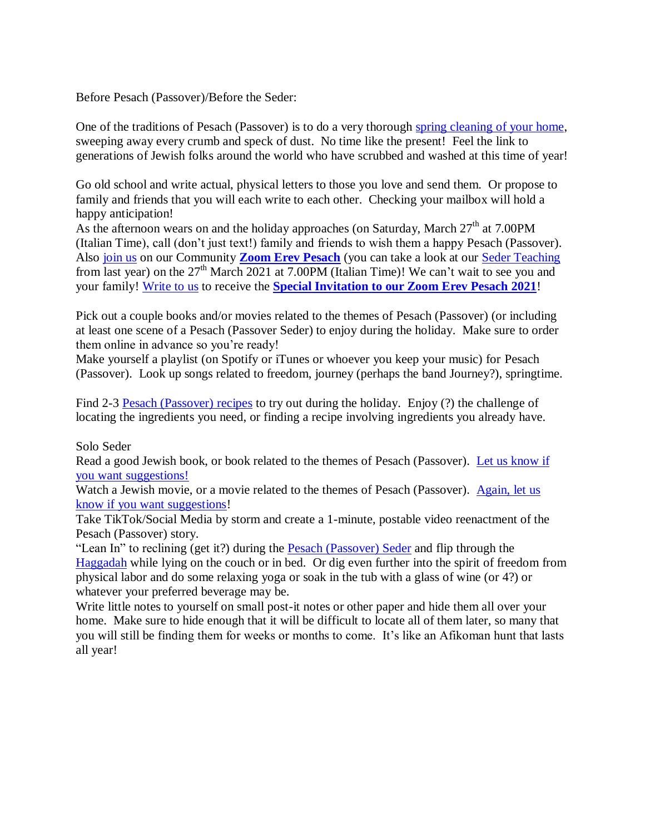Before Pesach (Passover)/Before the Seder:

One of the traditions of Pesach (Passover) is to do a very thorough [spring cleaning of your home,](https://villageofhopejusticeministry.files.wordpress.com/2020/04/cleaning-and-kashering-for-pesach-passover-pulizia-e-kasherizzazione-della-casa-per-pesach-pasqua-ebraica.pdf) sweeping away every crumb and speck of dust. No time like the present! Feel the link to generations of Jewish folks around the world who have scrubbed and washed at this time of year!

Go old school and write actual, physical letters to those you love and send them. Or propose to family and friends that you will each write to each other. Checking your mailbox will hold a happy anticipation!

As the afternoon wears on and the holiday approaches (on Saturday, March  $27<sup>th</sup>$  at 7.00PM (Italian Time), call (don't just text!) family and friends to wish them a happy Pesach (Passover). Also [join us](mailto:vohjm2013@gmail.com) on our Community **[Zoom Erev Pesach](mailto:vohjm2013@gmail.com)** (you can take a look at our [Seder Teaching](https://www.youtube.com/watch?v=1c1HySWdJGs&t=6s) from last year) on the  $27<sup>th</sup>$  March 2021 at 7.00PM (Italian Time)! We can't wait to see you and your family! [Write to us](mailto:vohjm2013@gmail.com) to receive the **Special Invitation [to our Zoom Erev Pesach 2021](mailto:vohjm2013@gmail.com)**!

Pick out a couple books and/or movies related to the themes of Pesach (Passover) (or including at least one scene of a Pesach (Passover Seder) to enjoy during the holiday. Make sure to order them online in advance so you're ready!

Make yourself a playlist (on Spotify or iTunes or whoever you keep your music) for Pesach (Passover). Look up songs related to freedom, journey (perhaps the band Journey?), springtime.

Find 2-3 [Pesach \(Passover\)](https://villageofhopejusticeministry.org/jewish-recipes-ricette-ebraiche/) recipes to try out during the holiday. Enjoy (?) the challenge of locating the ingredients you need, or finding a recipe involving ingredients you already have.

## Solo Seder

Read a good Jewish book, or book related to the themes of Pesach (Passover). [Let us know if](mailto:vohjm2013@gmail.com)  you want [suggestions!](mailto:vohjm2013@gmail.com)

Watch a Jewish movie, or a movie related to the themes of Pesach (Passover). [Again, let us](mailto:vohjm2013@gmail.com)  [know if you want suggestions!](mailto:vohjm2013@gmail.com)

Take TikTok/Social Media by storm and create a 1-minute, postable video reenactment of the Pesach (Passover) story.

"Lean In" to reclining (get it?) during the **Pesach (Passover) Seder** and flip through the [Haggadah](https://villageofhopejusticeministry.files.wordpress.com/2018/04/messianic-passover-haggadah-in-english.pdf) while lying on the couch or in bed. Or dig even further into the spirit of freedom from physical labor and do some relaxing yoga or soak in the tub with a glass of wine (or 4?) or whatever your preferred beverage may be.

Write little notes to yourself on small post-it notes or other paper and hide them all over your home. Make sure to hide enough that it will be difficult to locate all of them later, so many that you will still be finding them for weeks or months to come. It's like an Afikoman hunt that lasts all year!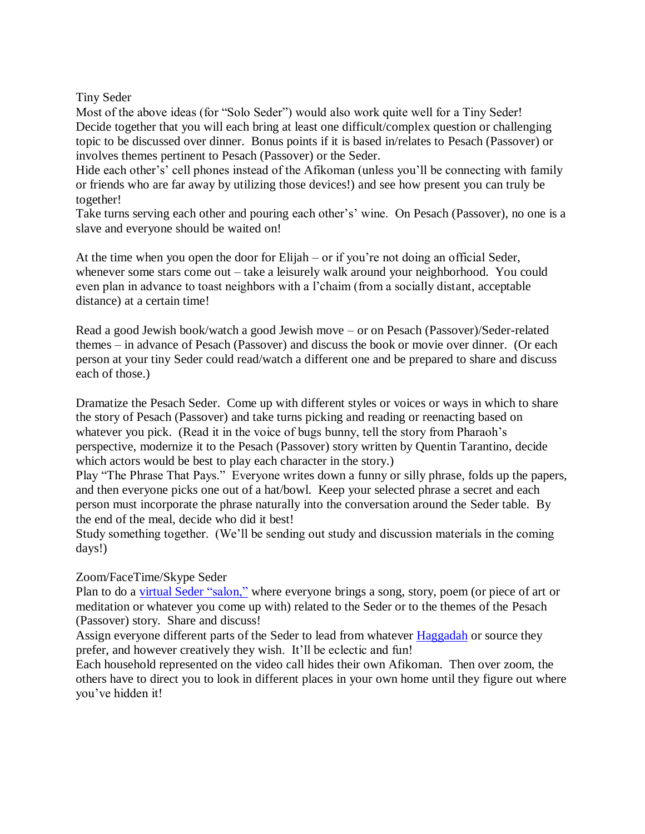## Tiny Seder

Most of the above ideas (for "Solo Seder") would also work quite well for a Tiny Seder! Decide together that you will each bring at least one difficult/complex question or challenging topic to be discussed over dinner. Bonus points if it is based in/relates to Pesach (Passover) or involves themes pertinent to Pesach (Passover) or the Seder.

Hide each other's' cell phones instead of the Afikoman (unless you'll be connecting with family or friends who are far away by utilizing those devices!) and see how present you can truly be together!

Take turns serving each other and pouring each other's' wine. On Pesach (Passover), no one is a slave and everyone should be waited on!

At the time when you open the door for Elijah – or if you're not doing an official Seder, whenever some stars come out – take a leisurely walk around your neighborhood. You could even plan in advance to toast neighbors with a l'chaim (from a socially distant, acceptable distance) at a certain time!

Read a good Jewish book/watch a good Jewish move – or on Pesach (Passover)/Seder-related themes – in advance of Pesach (Passover) and discuss the book or movie over dinner. (Or each person at your tiny Seder could read/watch a different one and be prepared to share and discuss each of those.)

Dramatize the Pesach Seder. Come up with different styles or voices or ways in which to share the story of Pesach (Passover) and take turns picking and reading or reenacting based on whatever you pick. (Read it in the voice of bugs bunny, tell the story from Pharaoh's perspective, modernize it to the Pesach (Passover) story written by Quentin Tarantino, decide which actors would be best to play each character in the story.)

Play "The Phrase That Pays." Everyone writes down a funny or silly phrase, folds up the papers, and then everyone picks one out of a hat/bowl. Keep your selected phrase a secret and each person must incorporate the phrase naturally into the conversation around the Seder table. By the end of the meal, decide who did it best!

Study something together. (We'll be sending out study and discussion materials in the coming days!)

## Zoom/FaceTime/Skype Seder

Plan to do a [virtual Seder](https://www.youtube.com/watch?v=1c1HySWdJGs&t=6s) "salon," where everyone brings a song, story, poem (or piece of art or meditation or whatever you come up with) related to the Seder or to the themes of the Pesach (Passover) story. Share and discuss!

Assign everyone different parts of the Seder to lead from whatever [Haggadah](https://villageofhopejusticeministry.files.wordpress.com/2018/04/messianic-passover-haggadah-in-english.pdf) or source they prefer, and however creatively they wish. It'll be eclectic and fun!

Each household represented on the video call hides their own Afikoman. Then over zoom, the others have to direct you to look in different places in your own home until they figure out where you've hidden it!